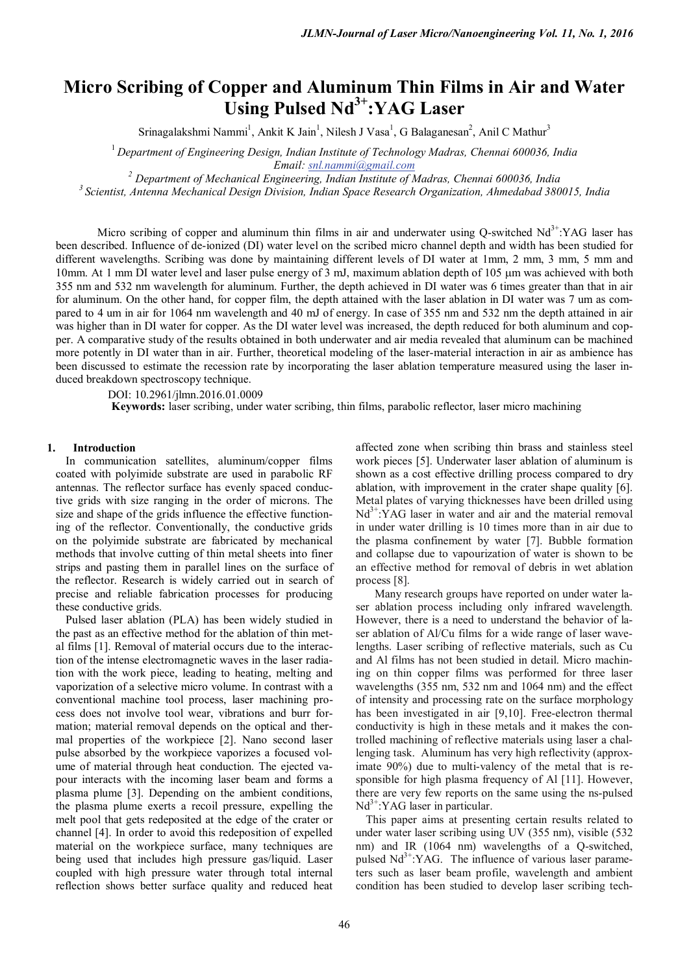# **Micro Scribing of Copper and Aluminum Thin Films in Air and Water**  Using Pulsed Nd<sup>3+</sup>:YAG Laser

Srinagalakshmi Nammi<sup>1</sup>, Ankit K Jain<sup>1</sup>, Nilesh J Vasa<sup>1</sup>, G Balaganesan<sup>2</sup>, Anil C Mathur<sup>3</sup>

<sup>1</sup>*Department of Engineering Design, Indian Institute of Technology Madras, Chennai 600036, India*

*Email: [snl.nammi@gmail.com](mailto:snl.nammi@gmail.com) <sup>2</sup> Department of Mechanical Engineering, Indian Institute of Madras, Chennai 600036, India*

*<sup>3</sup> Scientist, Antenna Mechanical Design Division, Indian Space Research Organization, Ahmedabad 380015, India*

Micro scribing of copper and aluminum thin films in air and underwater using Q-switched  $Nd<sup>3+</sup>:YAG$  laser has been described. Influence of de-ionized (DI) water level on the scribed micro channel depth and width has been studied for different wavelengths. Scribing was done by maintaining different levels of DI water at 1mm, 2 mm, 3 mm, 5 mm and 10mm. At 1 mm DI water level and laser pulse energy of 3 mJ, maximum ablation depth of 105 µm was achieved with both 355 nm and 532 nm wavelength for aluminum. Further, the depth achieved in DI water was 6 times greater than that in air for aluminum. On the other hand, for copper film, the depth attained with the laser ablation in DI water was 7 um as compared to 4 um in air for 1064 nm wavelength and 40 mJ of energy. In case of 355 nm and 532 nm the depth attained in air was higher than in DI water for copper. As the DI water level was increased, the depth reduced for both aluminum and copper. A comparative study of the results obtained in both underwater and air media revealed that aluminum can be machined more potently in DI water than in air. Further, theoretical modeling of the laser-material interaction in air as ambience has been discussed to estimate the recession rate by incorporating the laser ablation temperature measured using the laser induced breakdown spectroscopy technique.

DOI: 10.2961/jlmn.2016.01.0009

**Keywords:** laser scribing, under water scribing, thin films, parabolic reflector, laser micro machining

# **1. Introduction**

In communication satellites, aluminum/copper films coated with polyimide substrate are used in parabolic RF antennas. The reflector surface has evenly spaced conductive grids with size ranging in the order of microns. The size and shape of the grids influence the effective functioning of the reflector. Conventionally, the conductive grids on the polyimide substrate are fabricated by mechanical methods that involve cutting of thin metal sheets into finer strips and pasting them in parallel lines on the surface of the reflector. Research is widely carried out in search of precise and reliable fabrication processes for producing these conductive grids.

Pulsed laser ablation (PLA) has been widely studied in the past as an effective method for the ablation of thin metal films [1]. Removal of material occurs due to the interaction of the intense electromagnetic waves in the laser radiation with the work piece, leading to heating, melting and vaporization of a selective micro volume. In contrast with a conventional machine tool process, laser machining process does not involve tool wear, vibrations and burr formation; material removal depends on the optical and thermal properties of the workpiece [2]. Nano second laser pulse absorbed by the workpiece vaporizes a focused volume of material through heat conduction. The ejected vapour interacts with the incoming laser beam and forms a plasma plume [3]. Depending on the ambient conditions, the plasma plume exerts a recoil pressure, expelling the melt pool that gets redeposited at the edge of the crater or channel [4]. In order to avoid this redeposition of expelled material on the workpiece surface, many techniques are being used that includes high pressure gas/liquid. Laser coupled with high pressure water through total internal reflection shows better surface quality and reduced heat

affected zone when scribing thin brass and stainless steel work pieces [5]. Underwater laser ablation of aluminum is shown as a cost effective drilling process compared to dry ablation, with improvement in the crater shape quality [6]. Metal plates of varying thicknesses have been drilled using  $Nd^{3+}$ :YAG laser in water and air and the material removal in under water drilling is 10 times more than in air due to the plasma confinement by water [7]. Bubble formation and collapse due to vapourization of water is shown to be an effective method for removal of debris in wet ablation process [8].

 Many research groups have reported on under water laser ablation process including only infrared wavelength. However, there is a need to understand the behavior of laser ablation of Al/Cu films for a wide range of laser wavelengths. Laser scribing of reflective materials, such as Cu and Al films has not been studied in detail. Micro machining on thin copper films was performed for three laser wavelengths (355 nm, 532 nm and 1064 nm) and the effect of intensity and processing rate on the surface morphology has been investigated in air [9,10]. Free-electron thermal conductivity is high in these metals and it makes the controlled machining of reflective materials using laser a challenging task. Aluminum has very high reflectivity (approximate 90%) due to multi-valency of the metal that is responsible for high plasma frequency of Al [11]. However, there are very few reports on the same using the ns-pulsed  $Nd^{3+}$ :YAG laser in particular.

This paper aims at presenting certain results related to under water laser scribing using UV (355 nm), visible (532 nm) and IR (1064 nm) wavelengths of a Q-switched, pulsed  $Nd^{3+}$ :YAG. The influence of various laser parameters such as laser beam profile, wavelength and ambient condition has been studied to develop laser scribing tech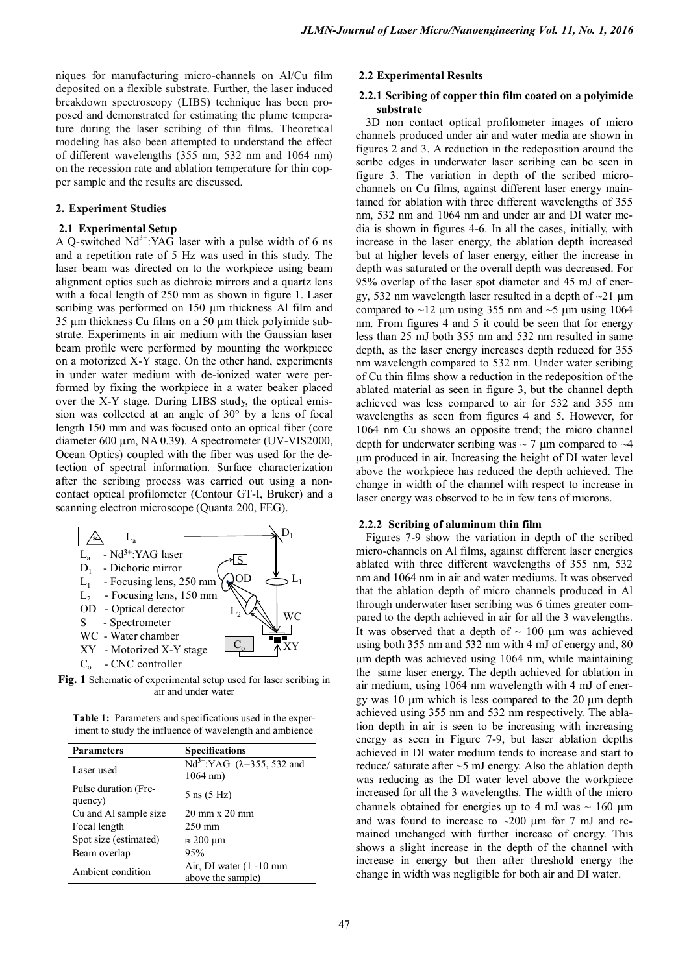niques for manufacturing micro-channels on Al/Cu film deposited on a flexible substrate. Further, the laser induced breakdown spectroscopy (LIBS) technique has been proposed and demonstrated for estimating the plume temperature during the laser scribing of thin films. Theoretical modeling has also been attempted to understand the effect of different wavelengths (355 nm, 532 nm and 1064 nm) on the recession rate and ablation temperature for thin copper sample and the results are discussed.

# **2. Experiment Studies**

# **2.1 Experimental Setup**

A Q-switched  $Nd^{3+}$ :YAG laser with a pulse width of 6 ns and a repetition rate of 5 Hz was used in this study. The laser beam was directed on to the workpiece using beam alignment optics such as dichroic mirrors and a quartz lens with a focal length of 250 mm as shown in figure 1. Laser scribing was performed on 150  $\mu$ m thickness Al film and 35 µm thickness Cu films on a 50 µm thick polyimide substrate. Experiments in air medium with the Gaussian laser beam profile were performed by mounting the workpiece on a motorized X-Y stage. On the other hand, experiments in under water medium with de-ionized water were performed by fixing the workpiece in a water beaker placed over the X-Y stage. During LIBS study, the optical emission was collected at an angle of 30° by a lens of focal length 150 mm and was focused onto an optical fiber (core diameter 600 µm, NA 0.39). A spectrometer (UV-VIS2000, Ocean Optics) coupled with the fiber was used for the detection of spectral information. Surface characterization after the scribing process was carried out using a noncontact optical profilometer (Contour GT-I, Bruker) and a scanning electron microscope (Quanta 200, FEG).



**Fig. 1** Schematic of experimental setup used for laser scribing in air and under water

**Table 1:** Parameters and specifications used in the experiment to study the influence of wavelength and ambience

| <b>Parameters</b>               | <b>Specifications</b>                                         |
|---------------------------------|---------------------------------------------------------------|
| Laser used                      | Nd <sup>3+</sup> :YAG ( $\lambda$ =355, 532 and<br>$1064$ nm) |
| Pulse duration (Fre-<br>quency) | 5 ns (5 Hz)                                                   |
| Cu and Al sample size           | $20 \text{ mm} \times 20 \text{ mm}$                          |
| Focal length                    | $250 \text{ mm}$                                              |
| Spot size (estimated)           | $\approx$ 200 µm                                              |
| Beam overlap                    | 95%                                                           |
| Ambient condition               | Air, DI water $(1 - 10$ mm<br>above the sample)               |

## **2.2 Experimental Results**

# **2.2.1 Scribing of copper thin film coated on a polyimide substrate**

3D non contact optical profilometer images of micro channels produced under air and water media are shown in figures 2 and 3. A reduction in the redeposition around the scribe edges in underwater laser scribing can be seen in figure 3. The variation in depth of the scribed microchannels on Cu films, against different laser energy maintained for ablation with three different wavelengths of 355 nm, 532 nm and 1064 nm and under air and DI water media is shown in figures 4-6. In all the cases, initially, with increase in the laser energy, the ablation depth increased but at higher levels of laser energy, either the increase in depth was saturated or the overall depth was decreased. For 95% overlap of the laser spot diameter and 45 mJ of energy, 532 nm wavelength laser resulted in a depth of  $\sim$ 21  $\mu$ m compared to  $\sim$ 12 µm using 355 nm and  $\sim$ 5 µm using 1064 nm. From figures 4 and 5 it could be seen that for energy less than 25 mJ both 355 nm and 532 nm resulted in same depth, as the laser energy increases depth reduced for 355 nm wavelength compared to 532 nm. Under water scribing of Cu thin films show a reduction in the redeposition of the ablated material as seen in figure 3, but the channel depth achieved was less compared to air for 532 and 355 nm wavelengths as seen from figures 4 and 5. However, for 1064 nm Cu shows an opposite trend; the micro channel depth for underwater scribing was  $\sim$  7  $\mu$ m compared to  $\sim$  4 µm produced in air. Increasing the height of DI water level above the workpiece has reduced the depth achieved. The change in width of the channel with respect to increase in laser energy was observed to be in few tens of microns.

## **2.2.2 Scribing of aluminum thin film**

Figures 7-9 show the variation in depth of the scribed micro-channels on Al films, against different laser energies ablated with three different wavelengths of 355 nm, 532 nm and 1064 nm in air and water mediums. It was observed that the ablation depth of micro channels produced in Al through underwater laser scribing was 6 times greater compared to the depth achieved in air for all the 3 wavelengths. It was observed that a depth of  $\sim$  100  $\mu$ m was achieved using both 355 nm and 532 nm with 4 mJ of energy and, 80 µm depth was achieved using 1064 nm, while maintaining the same laser energy. The depth achieved for ablation in air medium, using 1064 nm wavelength with 4 mJ of energy was 10  $\mu$ m which is less compared to the 20  $\mu$ m depth achieved using 355 nm and 532 nm respectively. The ablation depth in air is seen to be increasing with increasing energy as seen in Figure 7-9, but laser ablation depths achieved in DI water medium tends to increase and start to reduce/ saturate after  $\sim$ 5 mJ energy. Also the ablation depth was reducing as the DI water level above the workpiece increased for all the 3 wavelengths. The width of the micro channels obtained for energies up to 4 mJ was  $\sim 160 \mu m$ and was found to increase to  $\sim$ 200  $\mu$ m for 7 mJ and remained unchanged with further increase of energy. This shows a slight increase in the depth of the channel with increase in energy but then after threshold energy the change in width was negligible for both air and DI water.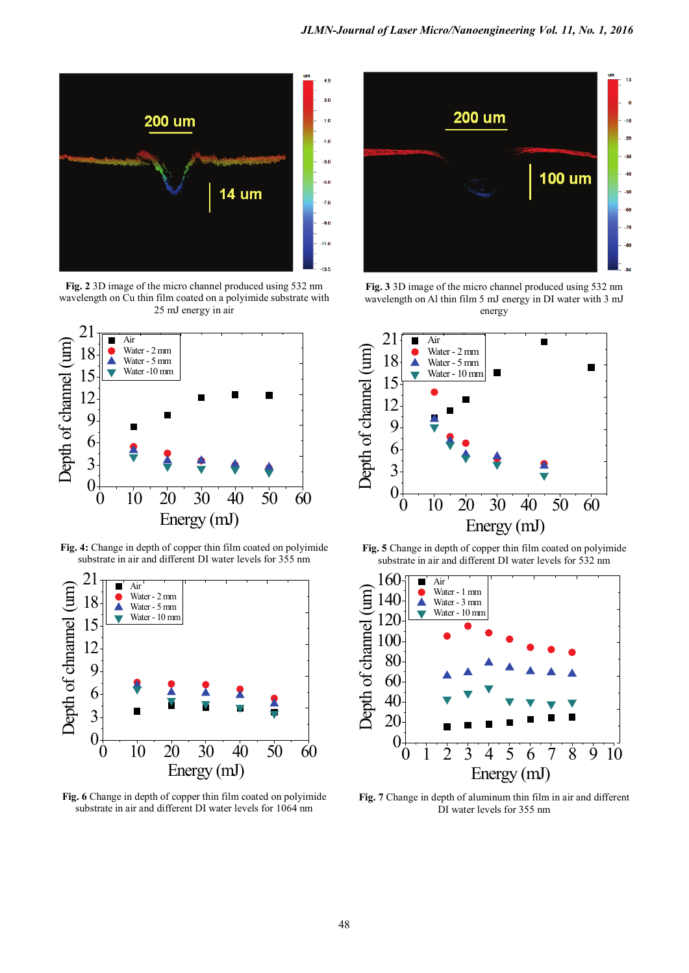

**Fig. 2** 3D image of the micro channel produced using 532 nm wavelength on Cu thin film coated on a polyimide substrate with 25 mJ energy in air



**Fig. 4:** Change in depth of copper thin film coated on polyimide substrate in air and different DI water levels for 355 nm



**Fig. 6** Change in depth of copper thin film coated on polyimide substrate in air and different DI water levels for 1064 nm



**Fig. 3** 3D image of the micro channel produced using 532 nm wavelength on Al thin film 5 mJ energy in DI water with 3 mJ energy



**Fig. 5** Change in depth of copper thin film coated on polyimide substrate in air and different DI water levels for 532 nm



**Fig. 7** Change in depth of aluminum thin film in air and different DI water levels for 355 nm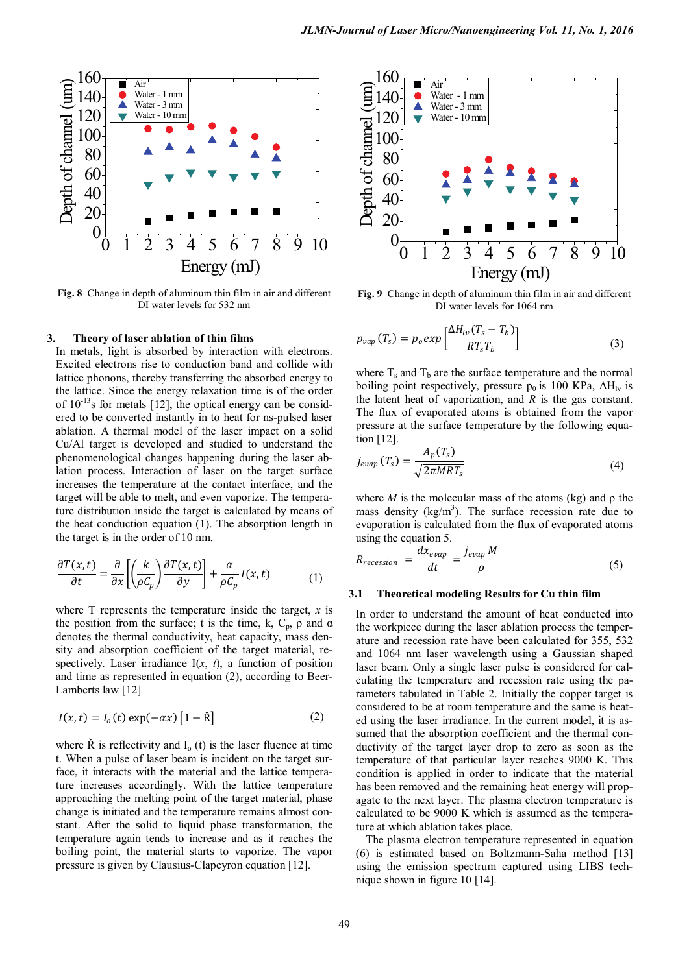

**Fig. 8** Change in depth of aluminum thin film in air and different DI water levels for 532 nm

#### **3. Theory of laser ablation of thin films**

In metals, light is absorbed by interaction with electrons. Excited electrons rise to conduction band and collide with lattice phonons, thereby transferring the absorbed energy to the lattice. Since the energy relaxation time is of the order of  $10^{-13}$ s for metals [12], the optical energy can be considered to be converted instantly in to heat for ns-pulsed laser ablation. A thermal model of the laser impact on a solid Cu/Al target is developed and studied to understand the phenomenological changes happening during the laser ablation process. Interaction of laser on the target surface increases the temperature at the contact interface, and the target will be able to melt, and even vaporize. The temperature distribution inside the target is calculated by means of the heat conduction equation (1). The absorption length in the target is in the order of 10 nm.

$$
\frac{\partial T(x,t)}{\partial t} = \frac{\partial}{\partial x} \left[ \left( \frac{k}{\rho C_p} \right) \frac{\partial T(x,t)}{\partial y} \right] + \frac{\alpha}{\rho C_p} I(x,t) \tag{1}
$$

where T represents the temperature inside the target, *x* is the position from the surface; t is the time, k,  $C_p$ ,  $\rho$  and  $\alpha$ denotes the thermal conductivity, heat capacity, mass density and absorption coefficient of the target material, respectively. Laser irradiance  $I(x, t)$ , a function of position and time as represented in equation (2), according to Beer-Lamberts law [12]

$$
I(x,t) = I_o(t) \exp(-\alpha x) \left[1 - \check{R}\right]
$$
 (2)

where  $\dot{R}$  is reflectivity and  $I_0(t)$  is the laser fluence at time t. When a pulse of laser beam is incident on the target surface, it interacts with the material and the lattice temperature increases accordingly. With the lattice temperature approaching the melting point of the target material, phase change is initiated and the temperature remains almost constant. After the solid to liquid phase transformation, the temperature again tends to increase and as it reaches the boiling point, the material starts to vaporize. The vapor pressure is given by Clausius-Clapeyron equation [12].



**Fig. 9** Change in depth of aluminum thin film in air and different DI water levels for 1064 nm

$$
p_{vap}(T_s) = p_o exp\left[\frac{\Delta H_{lv}(T_s - T_b)}{RT_s T_b}\right]
$$
\n(3)

where  $T_s$  and  $T_b$  are the surface temperature and the normal boiling point respectively, pressure  $p_0$  is 100 KPa,  $\Delta H$ <sub>lv</sub> is the latent heat of vaporization, and *R* is the gas constant. The flux of evaporated atoms is obtained from the vapor pressure at the surface temperature by the following equation [12].

$$
j_{evap}(T_s) = \frac{A_p(T_s)}{\sqrt{2\pi MRT_s}}
$$
\n(4)

where *M* is the molecular mass of the atoms (kg) and  $\rho$  the mass density  $(kg/m<sup>3</sup>)$ . The surface recession rate due to evaporation is calculated from the flux of evaporated atoms using the equation 5.

$$
R_{recession} = \frac{dx_{evap}}{dt} = \frac{j_{evap} M}{\rho}
$$
 (5)

#### **3.1 Theoretical modeling Results for Cu thin film**

In order to understand the amount of heat conducted into the workpiece during the laser ablation process the temperature and recession rate have been calculated for 355, 532 and 1064 nm laser wavelength using a Gaussian shaped laser beam. Only a single laser pulse is considered for calculating the temperature and recession rate using the parameters tabulated in Table 2. Initially the copper target is considered to be at room temperature and the same is heated using the laser irradiance. In the current model, it is assumed that the absorption coefficient and the thermal conductivity of the target layer drop to zero as soon as the temperature of that particular layer reaches 9000 K. This condition is applied in order to indicate that the material has been removed and the remaining heat energy will propagate to the next layer. The plasma electron temperature is calculated to be 9000 K which is assumed as the temperature at which ablation takes place.

The plasma electron temperature represented in equation (6) is estimated based on Boltzmann-Saha method [13] using the emission spectrum captured using LIBS technique shown in figure 10 [14].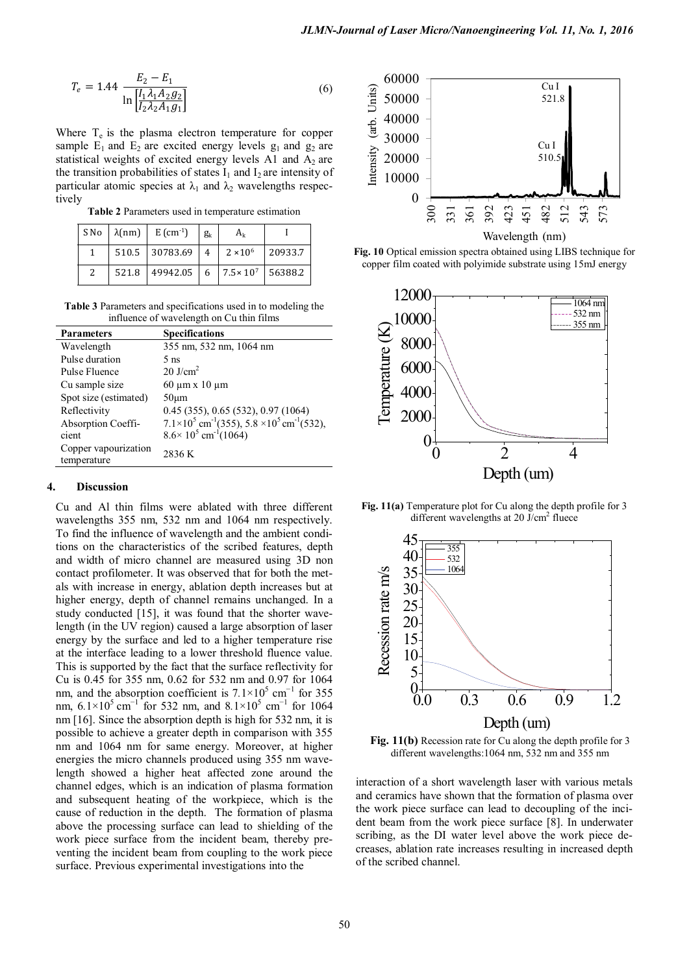$$
T_e = 1.44 \frac{E_2 - E_1}{\ln \left[ \frac{I_1 \lambda_1 A_2 g_2}{I_2 \lambda_2 A_1 g_1} \right]}
$$
(6)

Where  $T_e$  is the plasma electron temperature for copper sample  $E_1$  and  $E_2$  are excited energy levels  $g_1$  and  $g_2$  are statistical weights of excited energy levels A1 and  $A_2$  are the transition probabilities of states  $I_1$  and  $I_2$  are intensity of particular atomic species at  $\lambda_1$  and  $\lambda_2$  wavelengths respectively

**Table 2** Parameters used in temperature estimation

|   | $SNo \mid \lambda(nm) \mid$ | $E$ (cm <sup>-1</sup> )                                | $g_k$ | $A_k$           |         |
|---|-----------------------------|--------------------------------------------------------|-------|-----------------|---------|
|   |                             | $510.5$   30783.69   4                                 |       | $2 \times 10^6$ | 20933.7 |
| 2 |                             | $521.8$   49942.05   6   7.5×10 <sup>7</sup>   56388.2 |       |                 |         |

**Table 3** Parameters and specifications used in to modeling the influence of wavelength on Cu thin films

| <b>Parameters</b>                   | <b>Specifications</b>                                                            |
|-------------------------------------|----------------------------------------------------------------------------------|
| Wavelength                          | 355 nm, 532 nm, 1064 nm                                                          |
| Pulse duration                      | 5 <sub>ns</sub>                                                                  |
| Pulse Fluence                       | $20$ J/cm <sup>2</sup>                                                           |
| Cu sample size                      | $60 \mu m \times 10 \mu m$                                                       |
| Spot size (estimated)               | $50 \mu m$                                                                       |
| Reflectivity                        | $0.45$ (355), $0.65$ (532), $0.97$ (1064)                                        |
| Absorption Coeffi-                  | $7.1\times10^5$ cm <sup>-1</sup> (355), 5.8 $\times10^5$ cm <sup>-1</sup> (532), |
| cient                               | $8.6 \times 10^5$ cm <sup>-1</sup> (1064)                                        |
| Copper vapourization<br>temperature | 2836 K                                                                           |
|                                     |                                                                                  |

## **4. Discussion**

Cu and Al thin films were ablated with three different wavelengths 355 nm, 532 nm and 1064 nm respectively. To find the influence of wavelength and the ambient conditions on the characteristics of the scribed features, depth and width of micro channel are measured using 3D non contact profilometer. It was observed that for both the metals with increase in energy, ablation depth increases but at higher energy, depth of channel remains unchanged. In a study conducted [15], it was found that the shorter wavelength (in the UV region) caused a large absorption of laser energy by the surface and led to a higher temperature rise at the interface leading to a lower threshold fluence value. This is supported by the fact that the surface reflectivity for Cu is 0.45 for 355 nm, 0.62 for 532 nm and 0.97 for 1064 nm, and the absorption coefficient is  $7.1 \times 10^5$  cm<sup>−1</sup> for 355 nm,  $6.1\times10^{5}$  cm<sup>-1</sup> for 532 nm, and  $8.1\times10^{5}$  cm<sup>-1</sup> for 1064 nm [16]. Since the absorption depth is high for 532 nm, it is possible to achieve a greater depth in comparison with 355 nm and 1064 nm for same energy. Moreover, at higher energies the micro channels produced using 355 nm wavelength showed a higher heat affected zone around the channel edges, which is an indication of plasma formation and subsequent heating of the workpiece, which is the cause of reduction in the depth. The formation of plasma above the processing surface can lead to shielding of the work piece surface from the incident beam, thereby preventing the incident beam from coupling to the work piece surface. Previous experimental investigations into the



**Fig. 10** Optical emission spectra obtained using LIBS technique for copper film coated with polyimide substrate using 15mJ energy



**Fig. 11(a)** Temperature plot for Cu along the depth profile for 3 different wavelengths at  $20 \text{ J/cm}^2$  fluece



**Fig. 11(b)** Recession rate for Cu along the depth profile for 3 different wavelengths:1064 nm, 532 nm and 355 nm

interaction of a short wavelength laser with various metals and ceramics have shown that the formation of plasma over the work piece surface can lead to decoupling of the incident beam from the work piece surface [8]. In underwater scribing, as the DI water level above the work piece decreases, ablation rate increases resulting in increased depth of the scribed channel.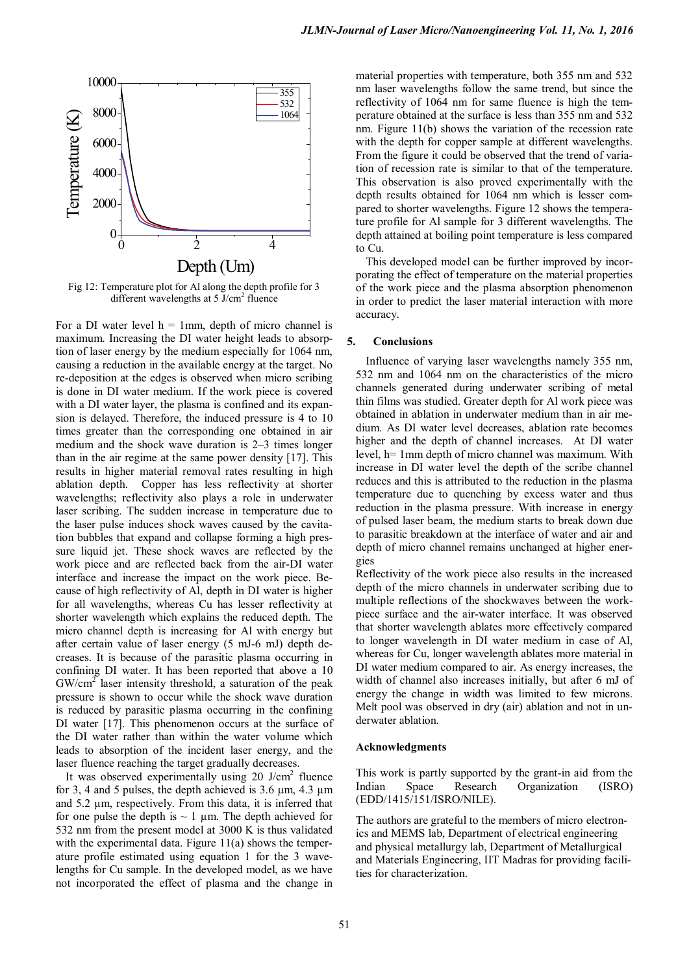

Fig 12: Temperature plot for Al along the depth profile for 3 different wavelengths at 5 J/cm<sup>2</sup> fluence

For a DI water level  $h = 1$ mm, depth of micro channel is maximum. Increasing the DI water height leads to absorption of laser energy by the medium especially for 1064 nm, causing a reduction in the available energy at the target. No re-deposition at the edges is observed when micro scribing is done in DI water medium. If the work piece is covered with a DI water layer, the plasma is confined and its expansion is delayed. Therefore, the induced pressure is 4 to 10 times greater than the corresponding one obtained in air medium and the shock wave duration is 2–3 times longer than in the air regime at the same power density [17]. This results in higher material removal rates resulting in high ablation depth. Copper has less reflectivity at shorter wavelengths; reflectivity also plays a role in underwater laser scribing. The sudden increase in temperature due to the laser pulse induces shock waves caused by the cavitation bubbles that expand and collapse forming a high pressure liquid jet. These shock waves are reflected by the work piece and are reflected back from the air-DI water interface and increase the impact on the work piece. Because of high reflectivity of Al, depth in DI water is higher for all wavelengths, whereas Cu has lesser reflectivity at shorter wavelength which explains the reduced depth. The micro channel depth is increasing for Al with energy but after certain value of laser energy (5 mJ-6 mJ) depth decreases. It is because of the parasitic plasma occurring in confining DI water. It has been reported that above a 10  $GW/cm<sup>2</sup>$  laser intensity threshold, a saturation of the peak pressure is shown to occur while the shock wave duration is reduced by parasitic plasma occurring in the confining DI water [17]. This phenomenon occurs at the surface of the DI water rather than within the water volume which leads to absorption of the incident laser energy, and the laser fluence reaching the target gradually decreases.

It was observed experimentally using  $20 \text{ J/cm}^2$  fluence for 3, 4 and 5 pulses, the depth achieved is  $3.6 \mu m$ ,  $4.3 \mu m$ and 5.2 µm, respectively. From this data, it is inferred that for one pulse the depth is  $\sim 1$  µm. The depth achieved for 532 nm from the present model at 3000 K is thus validated with the experimental data. Figure 11(a) shows the temperature profile estimated using equation 1 for the 3 wavelengths for Cu sample. In the developed model, as we have not incorporated the effect of plasma and the change in

material properties with temperature, both 355 nm and 532 nm laser wavelengths follow the same trend, but since the reflectivity of 1064 nm for same fluence is high the temperature obtained at the surface is less than 355 nm and 532 nm. Figure 11(b) shows the variation of the recession rate with the depth for copper sample at different wavelengths. From the figure it could be observed that the trend of variation of recession rate is similar to that of the temperature. This observation is also proved experimentally with the depth results obtained for 1064 nm which is lesser compared to shorter wavelengths. Figure 12 shows the temperature profile for Al sample for 3 different wavelengths. The depth attained at boiling point temperature is less compared to Cu.

This developed model can be further improved by incorporating the effect of temperature on the material properties of the work piece and the plasma absorption phenomenon in order to predict the laser material interaction with more accuracy.

## **5. Conclusions**

Influence of varying laser wavelengths namely 355 nm, 532 nm and 1064 nm on the characteristics of the micro channels generated during underwater scribing of metal thin films was studied. Greater depth for Al work piece was obtained in ablation in underwater medium than in air medium. As DI water level decreases, ablation rate becomes higher and the depth of channel increases. At DI water level, h= 1mm depth of micro channel was maximum. With increase in DI water level the depth of the scribe channel reduces and this is attributed to the reduction in the plasma temperature due to quenching by excess water and thus reduction in the plasma pressure. With increase in energy of pulsed laser beam, the medium starts to break down due to parasitic breakdown at the interface of water and air and depth of micro channel remains unchanged at higher energies

Reflectivity of the work piece also results in the increased depth of the micro channels in underwater scribing due to multiple reflections of the shockwaves between the workpiece surface and the air-water interface. It was observed that shorter wavelength ablates more effectively compared to longer wavelength in DI water medium in case of Al, whereas for Cu, longer wavelength ablates more material in DI water medium compared to air. As energy increases, the width of channel also increases initially, but after 6 mJ of energy the change in width was limited to few microns. Melt pool was observed in dry (air) ablation and not in underwater ablation.

## **Acknowledgments**

This work is partly supported by the grant-in aid from the Indian Space Research Organization (ISRO) (EDD/1415/151/ISRO/NILE).

The authors are grateful to the members of micro electronics and MEMS lab, Department of electrical engineering and physical metallurgy lab, Department of Metallurgical and Materials Engineering, IIT Madras for providing facilities for characterization.